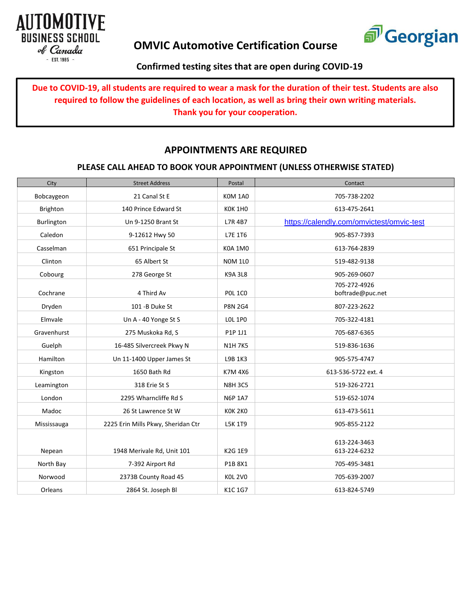



## **Confirmed testing sites that are open during COVID-19**

**Due to COVID-19, all students are required to wear a mask for the duration of their test. Students are also required to follow the guidelines of each location, as well as bring their own writing materials. Thank you for your cooperation.**

## **APPOINTMENTS ARE REQUIRED**

#### **PLEASE CALL AHEAD TO BOOK YOUR APPOINTMENT (UNLESS OTHERWISE STATED)**

| City        | <b>Street Address</b>              | Postal         | Contact                                   |
|-------------|------------------------------------|----------------|-------------------------------------------|
| Bobcaygeon  | 21 Canal St E                      | <b>KOM 1A0</b> | 705-738-2202                              |
| Brighton    | 140 Prince Edward St               | <b>KOK 1HO</b> | 613-475-2641                              |
| Burlington  | Un 9-1250 Brant St                 | L7R 4B7        | https://calendly.com/omvictest/omvic-test |
| Caledon     | 9-12612 Hwy 50                     | L7E 1T6        | 905-857-7393                              |
| Casselman   | 651 Principale St                  | <b>K0A 1M0</b> | 613-764-2839                              |
| Clinton     | 65 Albert St                       | <b>NOM 1L0</b> | 519-482-9138                              |
| Cobourg     | 278 George St                      | <b>K9A 3L8</b> | 905-269-0607                              |
| Cochrane    | 4 Third Av                         | <b>POL 1CO</b> | 705-272-4926<br>boftrade@puc.net          |
| Dryden      | 101 - B Duke St                    | <b>P8N 2G4</b> | 807-223-2622                              |
| Elmvale     | Un A - 40 Yonge St S               | <b>LOL 1PO</b> | 705-322-4181                              |
| Gravenhurst | 275 Muskoka Rd, S                  | P1P 1J1        | 705-687-6365                              |
| Guelph      | 16-485 Silvercreek Pkwy N          | <b>N1H 7K5</b> | 519-836-1636                              |
| Hamilton    | Un 11-1400 Upper James St          | L9B 1K3        | 905-575-4747                              |
| Kingston    | 1650 Bath Rd                       | K7M 4X6        | 613-536-5722 ext. 4                       |
| Leamington  | 318 Erie St S                      | <b>N8H 3C5</b> | 519-326-2721                              |
| London      | 2295 Wharncliffe Rd S              | <b>N6P 1A7</b> | 519-652-1074                              |
| Madoc       | 26 St Lawrence St W                | KOK 2KO        | 613-473-5611                              |
| Mississauga | 2225 Erin Mills Pkwy, Sheridan Ctr | L5K 1T9        | 905-855-2122                              |
| Nepean      | 1948 Merivale Rd, Unit 101         | <b>K2G 1E9</b> | 613-224-3463<br>613-224-6232              |
| North Bay   | 7-392 Airport Rd                   | P1B 8X1        | 705-495-3481                              |
| Norwood     | 2373B County Road 45               | <b>KOL 2VO</b> | 705-639-2007                              |
| Orleans     | 2864 St. Joseph Bl                 | K1C 1G7        | 613-824-5749                              |